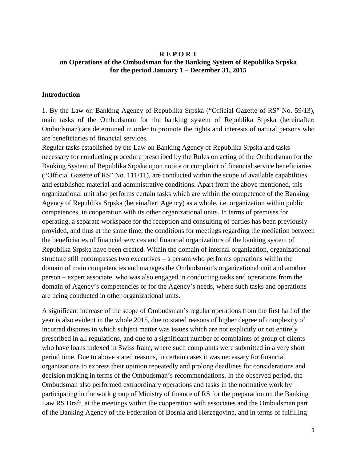### **R E P O R T on Operations of the Ombudsman for the Banking System of Republika Srpska for the period January 1 – December 31, 2015**

#### **Introduction**

1. By the Law on Banking Agency of Republika Srpska ("Official Gazette of RS" No. 59/13), main tasks of the Ombudsman for the banking system of Republika Srpska (hereinafter: Ombudsman) are determined in order to promote the rights and interests of natural persons who are beneficiaries of financial services.

Regular tasks established by the Law on Banking Agency of Republika Srpska and tasks necessary for conducting procedure prescribed by the Rules on acting of the Ombudsman for the Banking System of Republika Srpska upon notice or complaint of financial service beneficiaries ("Official Gazette of RS" No. 111/11), are conducted within the scope of available capabilities and established material and administrative conditions. Apart from the above mentioned, this organizational unit also performs certain tasks which are within the competence of the Banking Agency of Republika Srpska (hereinafter: Agency) as a whole, i.e. organization within public competences, in cooperation with its other organizational units. In terms of premises for operating, a separate workspace for the reception and consulting of parties has been previously provided, and thus at the same time, the conditions for meetings regarding the mediation between the beneficiaries of financial services and financial organizations of the banking system of Republika Srpska have been created. Within the domain of internal organization, organizational structure still encompasses two executives – a person who performs operations within the domain of main competencies and manages the Ombudsman's organizational unit and another person – expert associate, who was also engaged in conducting tasks and operations from the domain of Agency's competencies or for the Agency's needs, where such tasks and operations are being conducted in other organizational units.

A significant increase of the scope of Ombudsman's regular operations from the first half of the year is also evident in the whole 2015, due to stated reasons of higher degree of complexity of incurred disputes in which subject matter was issues which are not explicitly or not entirely prescribed in all regulations, and due to a significant number of complaints of group of clients who have loans indexed in Swiss franc, where such complaints were submitted in a very short period time. Due to above stated reasons, in certain cases it was necessary for financial organizations to express their opinion repeatedly and prolong deadlines for considerations and decision making in terms of the Ombudsman's recommendations. In the observed period, the Ombudsman also performed extraordinary operations and tasks in the normative work by participating in the work group of Ministry of finance of RS for the preparation on the Banking Law RS Draft, at the meetings within the cooperation with associates and the Ombudsman part of the Banking Agency of the Federation of Bosnia and Herzegovina, and in terms of fulfilling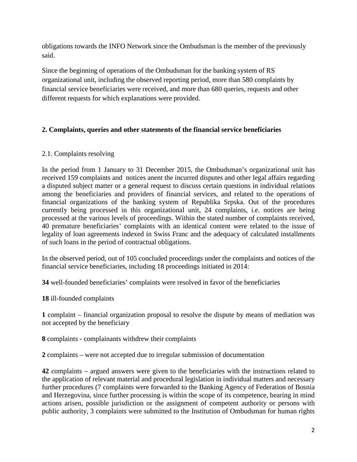obligations towards the INFO Network since the Ombudsman is the member of the previously said.

Since the beginning of operations of the Ombudsman for the banking system of RS organizational unit, including the observed reporting period, more than 580 complaints by financial service beneficiaries were received, and more than 680 queries, requests and other different requests for which explanations were provided.

# **2. Complaints, queries and other statements of the financial service beneficiaries**

## 2.1. Complaints resolving

In the period from 1 January to 31 December 2015, the Ombudsman's organizational unit has received 159 complaints and notices anent the incurred disputes and other legal affairs regarding a disputed subject matter or a general request to discuss certain questions in individual relations among the beneficiaries and providers of financial services, and related to the operations of financial organizations of the banking system of Republika Srpska. Out of the procedures currently being processed in this organizational unit, 24 complaints, i.e. notices are being processed at the various levels of proceedings. Within the stated number of complaints received, 40 premature beneficiaries' complaints with an identical content were related to the issue of legality of loan agreements indexed in Swiss Franc and the adequacy of calculated installments of such loans in the period of contractual obligations.

In the observed period, out of 105 concluded proceedings under the complaints and notices of the financial service beneficiaries, including 18 proceedings initiated in 2014:

**34** well-founded beneficiaries' complaints were resolved in favor of the beneficiaries

**18** ill-founded complaints

**1** complaint – financial organization proposal to resolve the dispute by means of mediation was not accepted by the beneficiary

**8** complaints - complainants withdrew their complaints

**2** complaints – were not accepted due to irregular submission of documentation

**42** complaints – argued answers were given to the beneficiaries with the instructions related to the application of relevant material and procedural legislation in individual matters and necessary further procedures (7 complaints were forwarded to the Banking Agency of Federation of Bosnia and Herzegovina, since further processing is within the scope of its competence, bearing in mind actions arisen, possible jurisdiction or the assignment of competent authority or persons with public authority, 3 complaints were submitted to the Institution of Ombudsman for human rights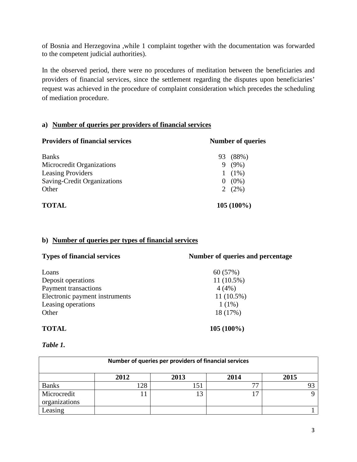of Bosnia and Herzegovina ,while 1 complaint together with the documentation was forwarded to the competent judicial authorities).

In the observed period, there were no procedures of meditation between the beneficiaries and providers of financial services, since the settlement regarding the disputes upon beneficiaries' request was achieved in the procedure of complaint consideration which precedes the scheduling of mediation procedure.

# **a) Number of queries per providers of financial services**

| <b>Providers of financial services</b> | <b>Number of queries</b> |           |
|----------------------------------------|--------------------------|-----------|
| <b>Banks</b>                           | 93                       | $(88\%)$  |
| Microcredit Organizations              | 9.                       | $(9\%)$   |
| <b>Leasing Providers</b>               |                          | $(1\%)$   |
| Saving-Credit Organizations            |                          | $(0\%)$   |
| Other                                  |                          | 2 $(2\%)$ |
| <b>TOTAL</b>                           | $105(100\%)$             |           |

# **b) Number of queries per types of financial services**

| <b>Types of financial services</b> | Number of queries and percentage |
|------------------------------------|----------------------------------|
| Loans                              | 60 (57%)                         |
| Deposit operations                 | $11(10.5\%)$                     |
| <b>Payment transactions</b>        | 4(4%)                            |
| Electronic payment instruments     | $11(10.5\%)$                     |
| Leasing operations                 | $1(1\%)$                         |
| Other                              | 18 (17%)                         |
| <b>TOTAL</b>                       | $105(100\%)$                     |

# *Table 1.*

|                              |      | Number of queries per providers of financial services |      |      |
|------------------------------|------|-------------------------------------------------------|------|------|
|                              | 2012 | 2013                                                  | 2014 | 2015 |
| <b>Banks</b>                 | 128  | 151                                                   | 77   |      |
| Microcredit<br>organizations |      |                                                       | 17   |      |
| easing                       |      |                                                       |      |      |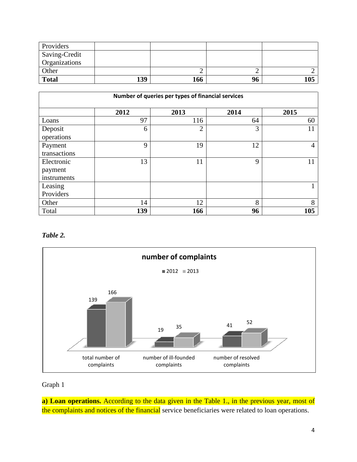| Providers            |     |     |    |     |
|----------------------|-----|-----|----|-----|
| Saving-Credit        |     |     |    |     |
| <b>Organizations</b> |     |     |    |     |
| Other                |     |     |    |     |
| <b>Total</b>         | 139 | 166 | 96 | 105 |

| Number of queries per types of financial services |      |                |      |      |
|---------------------------------------------------|------|----------------|------|------|
|                                                   | 2012 | 2013           | 2014 | 2015 |
| Loans                                             | 97   | 116            | 64   | 60   |
| Deposit<br>operations                             | 6    | $\overline{2}$ | 3    | 11   |
| Payment<br>transactions                           | 9    | 19             | 12   | 4    |
| Electronic<br>payment<br>instruments              | 13   | 11             | 9    | 11   |
| Leasing<br>Providers                              |      |                |      |      |
| Other                                             | 14   | 12             | 8    | 8    |
| Total                                             | 139  | 166            | 96   | 105  |

*Table 2.*



# Graph 1

**a) Loan operations.** According to the data given in the Table 1., in the previous year, most of the complaints and notices of the financial service beneficiaries were related to loan operations.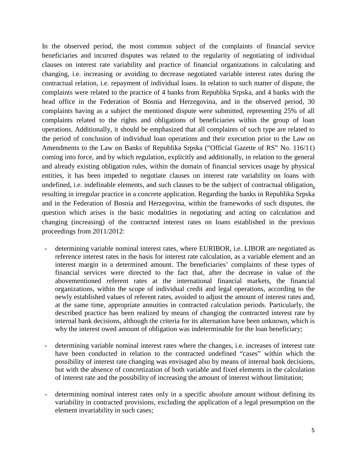In the observed period, the most common subject of the complaints of financial service beneficiaries and incurred disputes was related to the regularity of negotiating of individual clauses on interest rate variability and practice of financial organizations in calculating and changing, i.e. increasing or avoiding to decrease negotiated variable interest rates during the contractual relation, i.e. repayment of individual loans. In relation to such matter of dispute, the complaints were related to the practice of 4 banks from Republika Srpska, and 4 banks with the head office in the Federation of Bosnia and Herzegovina, and in the observed period, 30 complaints having as a subject the mentioned dispute were submitted, representing 25% of all complaints related to the rights and obligations of beneficiaries within the group of loan operations. Additionally, it should be emphasized that all complaints of such type are related to the period of conclusion of individual loan operations and their execution prior to the Law on Amendments to the Law on Banks of Republika Srpska ("Official Gazette of RS" No. 116/11) coming into force, and by which regulation, explicitly and additionally, in relation to the general and already existing obligation rules, within the domain of financial services usage by physical entities, it has been impeded to negotiate clauses on interest rate variability on loans with undefined, i.e. indefinable elements, and such clauses to be the subject of contractual obligation, resulting in irregular practice in a concrete application. Regarding the banks in Republika Srpska and in the Federation of Bosnia and Herzegovina, within the frameworks of such disputes, the question which arises is the basic modalities in negotiating and acting on calculation and changing (increasing) of the contracted interest rates on loans established in the previous proceedings from 2011/2012:

- determining variable nominal interest rates, where EURIBOR, i.e. LIBOR are negotiated as reference interest rates in the basis for interest rate calculation, as a variable element and an interest margin in a determined amount. The beneficiaries' complaints of these types of financial services were directed to the fact that, after the decrease in value of the abovementioned referent rates at the international financial markets, the financial organizations, within the scope of individual credit and legal operations, according to the newly established values of referent rates, avoided to adjust the amount of interest rates and, at the same time, appropriate annuities in contracted calculation periods. Particularly, the described practice has been realized by means of changing the contracted interest rate by internal bank decisions, although the criteria for its alternation have been unknown, which is why the interest owed amount of obligation was indeterminable for the loan beneficiary;
- determining variable nominal interest rates where the changes, i.e. increases of interest rate have been conducted in relation to the contracted undefined "cases" within which the possibility of interest rate changing was envisaged also by means of internal bank decisions, but with the absence of concretization of both variable and fixed elements in the calculation of interest rate and the possibility of increasing the amount of interest without limitation;
- determining nominal interest rates only in a specific absolute amount without defining its variability in contracted provisions, excluding the application of a legal presumption on the element invariability in such cases;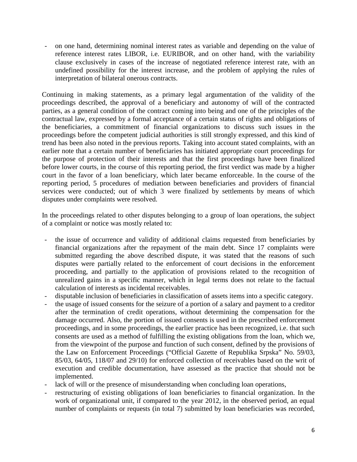- on one hand, determining nominal interest rates as variable and depending on the value of reference interest rates LIBOR, i.e. EURIBOR, and on other hand, with the variability clause exclusively in cases of the increase of negotiated reference interest rate, with an undefined possibility for the interest increase, and the problem of applying the rules of interpretation of bilateral onerous contracts.

Continuing in making statements, as a primary legal argumentation of the validity of the proceedings described, the approval of a beneficiary and autonomy of will of the contracted parties, as a general condition of the contract coming into being and one of the principles of the contractual law, expressed by a formal acceptance of a certain status of rights and obligations of the beneficiaries, a commitment of financial organizations to discuss such issues in the proceedings before the competent judicial authorities is still strongly expressed, and this kind of trend has been also noted in the previous reports. Taking into account stated complaints, with an earlier note that a certain number of beneficiaries has initiated appropriate court proceedings for the purpose of protection of their interests and that the first proceedings have been finalized before lower courts, in the course of this reporting period, the first verdict was made by a higher court in the favor of a loan beneficiary, which later became enforceable. In the course of the reporting period, 5 procedures of mediation between beneficiaries and providers of financial services were conducted; out of which 3 were finalized by settlements by means of which disputes under complaints were resolved.

In the proceedings related to other disputes belonging to a group of loan operations, the subject of a complaint or notice was mostly related to:

- the issue of occurrence and validity of additional claims requested from beneficiaries by financial organizations after the repayment of the main debt. Since 17 complaints were submitted regarding the above described dispute, it was stated that the reasons of such disputes were partially related to the enforcement of court decisions in the enforcement proceeding, and partially to the application of provisions related to the recognition of unrealized gains in a specific manner, which in legal terms does not relate to the factual calculation of interests as incidental receivables.
- disputable inclusion of beneficiaries in classification of assets items into a specific category.
- the usage of issued consents for the seizure of a portion of a salary and payment to a creditor after the termination of credit operations, without determining the compensation for the damage occurred. Also, the portion of issued consents is used in the prescribed enforcement proceedings, and in some proceedings, the earlier practice has been recognized, i.e. that such consents are used as a method of fulfilling the existing obligations from the loan, which we, from the viewpoint of the purpose and function of such consent, defined by the provisions of the Law on Enforcement Proceedings ("Official Gazette of Republika Srpska" No. 59/03, 85/03, 64/05, 118/07 and 29/10) for enforced collection of receivables based on the writ of execution and credible documentation, have assessed as the practice that should not be implemented.
- lack of will or the presence of misunderstanding when concluding loan operations,
- restructuring of existing obligations of loan beneficiaries to financial organization. In the work of organizational unit, if compared to the year 2012, in the observed period, an equal number of complaints or requests (in total 7) submitted by loan beneficiaries was recorded,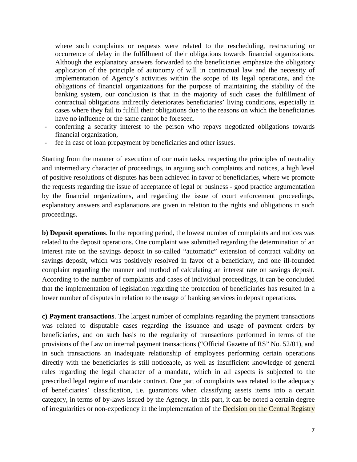where such complaints or requests were related to the rescheduling, restructuring or occurrence of delay in the fulfillment of their obligations towards financial organizations. Although the explanatory answers forwarded to the beneficiaries emphasize the obligatory application of the principle of autonomy of will in contractual law and the necessity of implementation of Agency's activities within the scope of its legal operations, and the obligations of financial organizations for the purpose of maintaining the stability of the banking system, our conclusion is that in the majority of such cases the fulfillment of contractual obligations indirectly deteriorates beneficiaries' living conditions, especially in cases where they fail to fulfill their obligations due to the reasons on which the beneficiaries have no influence or the same cannot be foreseen.

- conferring a security interest to the person who repays negotiated obligations towards financial organization,
- fee in case of loan prepayment by beneficiaries and other issues.

Starting from the manner of execution of our main tasks, respecting the principles of neutrality and intermediary character of proceedings, in arguing such complaints and notices, a high level of positive resolutions of disputes has been achieved in favor of beneficiaries, where we promote the requests regarding the issue of acceptance of legal or business - good practice argumentation by the financial organizations, and regarding the issue of court enforcement proceedings, explanatory answers and explanations are given in relation to the rights and obligations in such proceedings.

**b) Deposit operations**. In the reporting period, the lowest number of complaints and notices was related to the deposit operations. One complaint was submitted regarding the determination of an interest rate on the savings deposit in so-called "automatic" extension of contract validity on savings deposit, which was positively resolved in favor of a beneficiary, and one ill-founded complaint regarding the manner and method of calculating an interest rate on savings deposit. According to the number of complaints and cases of individual proceedings, it can be concluded that the implementation of legislation regarding the protection of beneficiaries has resulted in a lower number of disputes in relation to the usage of banking services in deposit operations.

**c) Payment transactions**. The largest number of complaints regarding the payment transactions was related to disputable cases regarding the issuance and usage of payment orders by beneficiaries, and on such basis to the regularity of transactions performed in terms of the provisions of the Law on internal payment transactions ("Official Gazette of RS" No. 52/01), and in such transactions an inadequate relationship of employees performing certain operations directly with the beneficiaries is still noticeable, as well as insufficient knowledge of general rules regarding the legal character of a mandate, which in all aspects is subjected to the prescribed legal regime of mandate contract. One part of complaints was related to the adequacy of beneficiaries' classification, i.e. guarantors when classifying assets items into a certain category, in terms of by-laws issued by the Agency. In this part, it can be noted a certain degree of irregularities or non-expediency in the implementation of the Decision on the Central Registry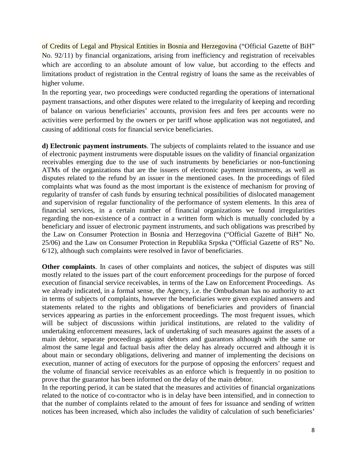of Credits of Legal and Physical Entities in Bosnia and Herzegovina ("Official Gazette of BiH" No. 92/11) by financial organizations, arising from inefficiency and registration of receivables which are according to an absolute amount of low value, but according to the effects and limitations product of registration in the Central registry of loans the same as the receivables of higher volume.

In the reporting year, two proceedings were conducted regarding the operations of international payment transactions, and other disputes were related to the irregularity of keeping and recording of balance on various beneficiaries' accounts, provision fees and fees per accounts were no activities were performed by the owners or per tariff whose application was not negotiated, and causing of additional costs for financial service beneficiaries.

**d) Electronic payment instruments**. The subjects of complaints related to the issuance and use of electronic payment instruments were disputable issues on the validity of financial organization receivables emerging due to the use of such instruments by beneficiaries or non-functioning ATMs of the organizations that are the issuers of electronic payment instruments, as well as disputes related to the refund by an issuer in the mentioned cases. In the proceedings of filed complaints what was found as the most important is the existence of mechanism for proving of regularity of transfer of cash funds by ensuring technical possibilities of dislocated management and supervision of regular functionality of the performance of system elements. In this area of financial services, in a certain number of financial organizations we found irregularities regarding the non-existence of a contract in a written form which is mutually concluded by a beneficiary and issuer of electronic payment instruments, and such obligations was prescribed by the Law on Consumer Protection in Bosnia and Herzegovina ("Official Gazette of BiH" No. 25/06) and the Law on Consumer Protection in Republika Srpska ("Official Gazette of RS" No. 6/12), although such complaints were resolved in favor of beneficiaries.

**Other complaints**. In cases of other complaints and notices, the subject of disputes was still mostly related to the issues part of the court enforcement proceedings for the purpose of forced execution of financial service receivables, in terms of the Law on Enforcement Proceedings. As we already indicated, in a formal sense, the Agency, i.e. the Ombudsman has no authority to act in terms of subjects of complaints, however the beneficiaries were given explained answers and statements related to the rights and obligations of beneficiaries and providers of financial services appearing as parties in the enforcement proceedings. The most frequent issues, which will be subject of discussions within juridical institutions, are related to the validity of undertaking enforcement measures, lack of undertaking of such measures against the assets of a main debtor, separate proceedings against debtors and guarantors although with the same or almost the same legal and factual basis after the delay has already occurred and although it is about main or secondary obligations, delivering and manner of implementing the decisions on execution, manner of acting of executors for the purpose of opposing the enforcers' request and the volume of financial service receivables as an enforce which is frequently in no position to prove that the guarantor has been informed on the delay of the main debtor.

In the reporting period, it can be stated that the measures and activities of financial organizations related to the notice of co-contractor who is in delay have been intensified, and in connection to that the number of complaints related to the amount of fees for issuance and sending of written notices has been increased, which also includes the validity of calculation of such beneficiaries'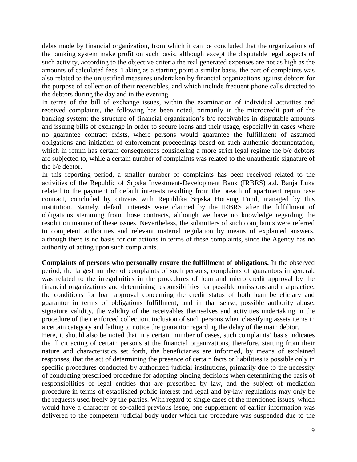debts made by financial organization, from which it can be concluded that the organizations of the banking system make profit on such basis, although except the disputable legal aspects of such activity, according to the objective criteria the real generated expenses are not as high as the amounts of calculated fees. Taking as a starting point a similar basis, the part of complaints was also related to the unjustified measures undertaken by financial organizations against debtors for the purpose of collection of their receivables, and which include frequent phone calls directed to the debtors during the day and in the evening.

In terms of the bill of exchange issues, within the examination of individual activities and received complaints, the following has been noted, primarily in the microcredit part of the banking system: the structure of financial organization's b/e receivables in disputable amounts and issuing bills of exchange in order to secure loans and their usage, especially in cases where no guarantee contract exists, where persons would guarantee the fulfillment of assumed obligations and initiation of enforcement proceedings based on such authentic documentation, which in return has certain consequences considering a more strict legal regime the b/e debtors are subjected to, while a certain number of complaints was related to the unauthentic signature of the b/e debtor.

In this reporting period, a smaller number of complaints has been received related to the activities of the Republic of Srpska Investment-Development Bank (IRBRS) a.d. Banja Luka related to the payment of default interests resulting from the breach of apartment repurchase contract, concluded by citizens with Republika Srpska Housing Fund, managed by this institution. Namely, default interests were claimed by the IRBRS after the fulfillment of obligations stemming from those contracts, although we have no knowledge regarding the resolution manner of these issues. Nevertheless, the submitters of such complaints were referred to competent authorities and relevant material regulation by means of explained answers, although there is no basis for our actions in terms of these complaints, since the Agency has no authority of acting upon such complaints.

**Complaints of persons who personally ensure the fulfillment of obligations.** In the observed period, the largest number of complaints of such persons, complaints of guarantors in general, was related to the irregularities in the procedures of loan and micro credit approval by the financial organizations and determining responsibilities for possible omissions and malpractice, the conditions for loan approval concerning the credit status of both loan beneficiary and guarantor in terms of obligations fulfillment, and in that sense, possible authority abuse, signature validity, the validity of the receivables themselves and activities undertaking in the procedure of their enforced collection, inclusion of such persons when classifying assets items in a certain category and failing to notice the guarantor regarding the delay of the main debtor.

Here, it should also be noted that in a certain number of cases, such complaints' basis indicates the illicit acting of certain persons at the financial organizations, therefore, starting from their nature and characteristics set forth, the beneficiaries are informed, by means of explained responses, that the act of determining the presence of certain facts or liabilities is possible only in specific procedures conducted by authorized judicial institutions, primarily due to the necessity of conducting prescribed procedure for adopting binding decisions when determining the basis of responsibilities of legal entities that are prescribed by law, and the subject of mediation procedure in terms of established public interest and legal and by-law regulations may only be the requests used freely by the parties. With regard to single cases of the mentioned issues, which would have a character of so-called previous issue, one supplement of earlier information was delivered to the competent judicial body under which the procedure was suspended due to the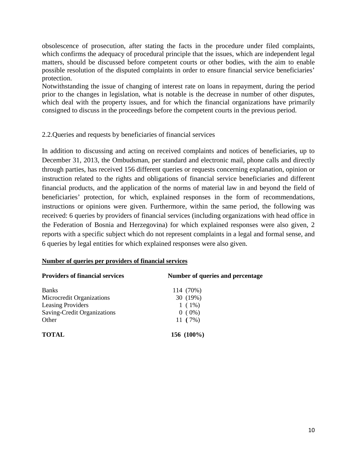obsolescence of prosecution, after stating the facts in the procedure under filed complaints, which confirms the adequacy of procedural principle that the issues, which are independent legal matters, should be discussed before competent courts or other bodies, with the aim to enable possible resolution of the disputed complaints in order to ensure financial service beneficiaries' protection.

Notwithstanding the issue of changing of interest rate on loans in repayment, during the period prior to the changes in legislation, what is notable is the decrease in number of other disputes, which deal with the property issues, and for which the financial organizations have primarily consigned to discuss in the proceedings before the competent courts in the previous period.

## 2.2.Queries and requests by beneficiaries of financial services

In addition to discussing and acting on received complaints and notices of beneficiaries, up to December 31, 2013, the Ombudsman, per standard and electronic mail, phone calls and directly through parties, has received 156 different queries or requests concerning explanation, opinion or instruction related to the rights and obligations of financial service beneficiaries and different financial products, and the application of the norms of material law in and beyond the field of beneficiaries' protection, for which, explained responses in the form of recommendations, instructions or opinions were given. Furthermore, within the same period, the following was received: 6 queries by providers of financial services (including organizations with head office in the Federation of Bosnia and Herzegovina) for which explained responses were also given, 2 reports with a specific subject which do not represent complaints in a legal and formal sense, and 6 queries by legal entities for which explained responses were also given.

### **Number of queries per providers of financial services**

| <b>Providers of financial services</b> | Number of queries and percentage |
|----------------------------------------|----------------------------------|
| <b>Banks</b>                           | 114 (70%)                        |
| Microcredit Organizations              | 30 (19%)                         |
| <b>Leasing Providers</b>               | $1(1\%)$                         |
| Saving-Credit Organizations            | $0(0\%)$                         |
| Other                                  | 11 $(7%)$                        |
| <b>TOTAL</b>                           | 156 $(100\%)$                    |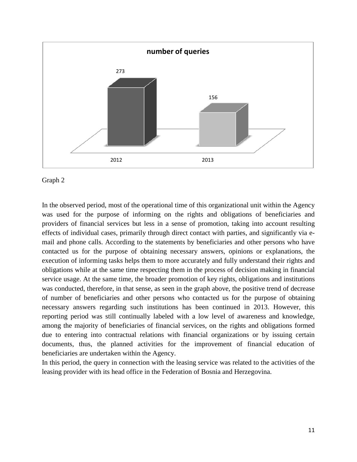



In the observed period, most of the operational time of this organizational unit within the Agency was used for the purpose of informing on the rights and obligations of beneficiaries and providers of financial services but less in a sense of promotion, taking into account resulting effects of individual cases, primarily through direct contact with parties, and significantly via email and phone calls. According to the statements by beneficiaries and other persons who have contacted us for the purpose of obtaining necessary answers, opinions or explanations, the execution of informing tasks helps them to more accurately and fully understand their rights and obligations while at the same time respecting them in the process of decision making in financial service usage. At the same time, the broader promotion of key rights, obligations and institutions was conducted, therefore, in that sense, as seen in the graph above, the positive trend of decrease of number of beneficiaries and other persons who contacted us for the purpose of obtaining necessary answers regarding such institutions has been continued in 2013. However, this reporting period was still continually labeled with a low level of awareness and knowledge, among the majority of beneficiaries of financial services, on the rights and obligations formed due to entering into contractual relations with financial organizations or by issuing certain documents, thus, the planned activities for the improvement of financial education of beneficiaries are undertaken within the Agency.

In this period, the query in connection with the leasing service was related to the activities of the leasing provider with its head office in the Federation of Bosnia and Herzegovina.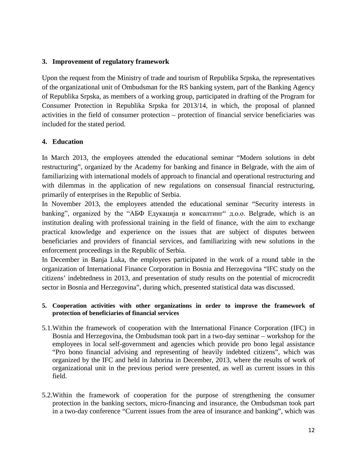### **3. Improvement of regulatory framework**

Upon the request from the Ministry of trade and tourism of Republika Srpska, the representatives of the organizational unit of Ombudsman for the RS banking system, part of the Banking Agency of Republika Srpska, as members of a working group, participated in drafting of the Program for Consumer Protection in Republika Srpska for 2013/14, in which, the proposal of planned activities in the field of consumer protection – protection of financial service beneficiaries was included for the stated period.

### **4. Education**

In March 2013, the employees attended the educational seminar "Modern solutions in debt restructuring", organized by the Academy for banking and finance in Belgrade, with the aim of familiarizing with international models of approach to financial and operational restructuring and with dilemmas in the application of new regulations on consensual financial restructuring, primarily of enterprises in the Republic of Serbia.

In November 2013, the employees attended the educational seminar "Security interests in banking", organized by the "АБФ Едукација и консалтинг" д.о.о. Belgrade, which is an institution dealing with professional training in the field of finance, with the aim to exchange practical knowledge and experience on the issues that are subject of disputes between beneficiaries and providers of financial services, and familiarizing with new solutions in the enforcement proceedings in the Republic of Serbia.

In December in Banja Luka, the employees participated in the work of a round table in the organization of International Finance Corporation in Bosnia and Herzegovina "IFC study on the citizens' indebtedness in 2013, and presentation of study results on the potential of microcredit sector in Bosnia and Herzegovina", during which, presented statistical data was discussed.

### **5. Cooperation activities with other organizations in order to improve the framework of protection of beneficiaries of financial services**

- 5.1.Within the framework of cooperation with the International Finance Corporation (IFC) in Bosnia and Herzegovina, the Ombudsman took part in a two-day seminar – workshop for the employees in local self-government and agencies which provide pro bono legal assistance "Pro bono financial advising and representing of heavily indebted citizens", which was organized by the IFC and held in Jahorina in December, 2013, where the results of work of organizational unit in the previous period were presented, as well as current issues in this field.
- 5.2.Within the framework of cooperation for the purpose of strengthening the consumer protection in the banking sectors, micro-financing and insurance, the Ombudsman took part in a two-day conference "Current issues from the area of insurance and banking", which was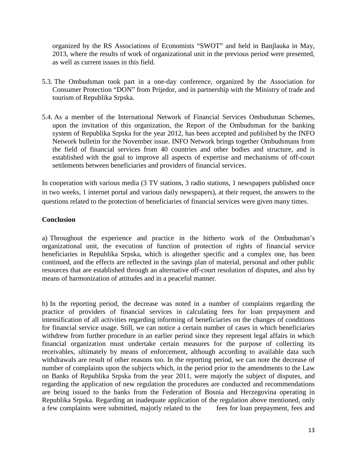organized by the RS Associations of Economists "SWOT" and held in Banjlauka in May, 2013, where the results of work of organizational unit in the previous period were presented, as well as current issues in this field.

- 5.3. The Ombudsman took part in a one-day conference, organized by the Association for Consumer Protection "DON" from Prijedor, and in partnership with the Ministry of trade and tourism of Republika Srpska.
- 5.4. As a member of the International Network of Financial Services Ombudsman Schemes, upon the invitation of this organization, the Report of the Ombudsman for the banking system of Republika Srpska for the year 2012, has been accepted and published by the INFO Network bulletin for the November issue. INFO Network brings together Ombudsmans from the field of financial services from 40 countries and other bodies and structure, and is established with the goal to improve all aspects of expertise and mechanisms of off-court settlements between beneficiaries and providers of financial services.

In cooperation with various media (3 TV stations, 3 radio stations, 1 newspapers published once in two weeks, 1 internet portal and various daily newspapers), at their request, the answers to the questions related to the protection of beneficiaries of financial services were given many times.

## **Conclusion**

a) Throughout the experience and practice in the hitherto work of the Ombudsman's organizational unit, the execution of function of protection of rights of financial service beneficiaries in Republika Srpska, which is altogether specific and a complex one, has been continued, and the effects are reflected in the savings plan of material, personal and other public resources that are established through an alternative off-court resolution of disputes, and also by means of harmonization of attitudes and in a peaceful manner.

b) In the reporting period, the decrease was noted in a number of complaints regarding the practice of providers of financial services in calculating fees for loan prepayment and intensification of all activities regarding informing of beneficiaries on the changes of conditions for financial service usage. Still, we can notice a certain number of cases in which beneficiaries withdrew from further procedure in an earlier period since they represent legal affairs in which financial organization must undertake certain measures for the purpose of collecting its receivables, ultimately by means of enforcement, although according to available data such withdrawals are result of other reasons too. In the reporting period, we can note the decrease of number of complaints upon the subjects which, in the period prior to the amendments to the Law on Banks of Republika Srpska from the year 2011, were majorly the subject of disputes, and regarding the application of new regulation the procedures are conducted and recommendations are being issued to the banks from the Federation of Bosnia and Herzegovina operating in Republika Srpska. Regarding an inadequate application of the regulation above mentioned, only a few complaints were submitted, majorly related to the fees for loan prepayment, fees and